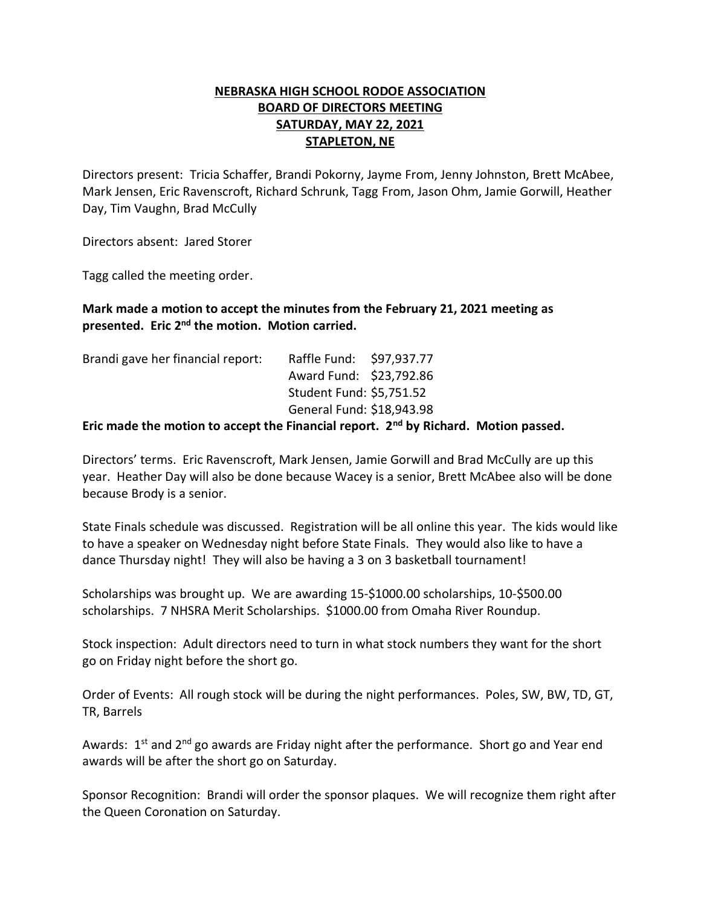## **NEBRASKA HIGH SCHOOL RODOE ASSOCIATION BOARD OF DIRECTORS MEETING SATURDAY, MAY 22, 2021 STAPLETON, NE**

Directors present: Tricia Schaffer, Brandi Pokorny, Jayme From, Jenny Johnston, Brett McAbee, Mark Jensen, Eric Ravenscroft, Richard Schrunk, Tagg From, Jason Ohm, Jamie Gorwill, Heather Day, Tim Vaughn, Brad McCully

Directors absent: Jared Storer

Tagg called the meeting order.

## **Mark made a motion to accept the minutes from the February 21, 2021 meeting as**  presented. Eric 2<sup>nd</sup> the motion. Motion carried.

| Brandi gave her financial report:                   | Raffle Fund: \$97,937.77  |  |
|-----------------------------------------------------|---------------------------|--|
|                                                     | Award Fund: \$23,792.86   |  |
|                                                     | Student Fund: \$5,751.52  |  |
|                                                     | General Fund: \$18,943.98 |  |
| <u>et til at at androident som androident ha at</u> |                           |  |

## **Eric made the motion to accept the Financial report. 2nd by Richard. Motion passed.**

Directors' terms. Eric Ravenscroft, Mark Jensen, Jamie Gorwill and Brad McCully are up this year. Heather Day will also be done because Wacey is a senior, Brett McAbee also will be done because Brody is a senior.

State Finals schedule was discussed. Registration will be all online this year. The kids would like to have a speaker on Wednesday night before State Finals. They would also like to have a dance Thursday night! They will also be having a 3 on 3 basketball tournament!

Scholarships was brought up. We are awarding 15-\$1000.00 scholarships, 10-\$500.00 scholarships. 7 NHSRA Merit Scholarships. \$1000.00 from Omaha River Roundup.

Stock inspection: Adult directors need to turn in what stock numbers they want for the short go on Friday night before the short go.

Order of Events: All rough stock will be during the night performances. Poles, SW, BW, TD, GT, TR, Barrels

Awards:  $1<sup>st</sup>$  and  $2<sup>nd</sup>$  go awards are Friday night after the performance. Short go and Year end awards will be after the short go on Saturday.

Sponsor Recognition: Brandi will order the sponsor plaques. We will recognize them right after the Queen Coronation on Saturday.